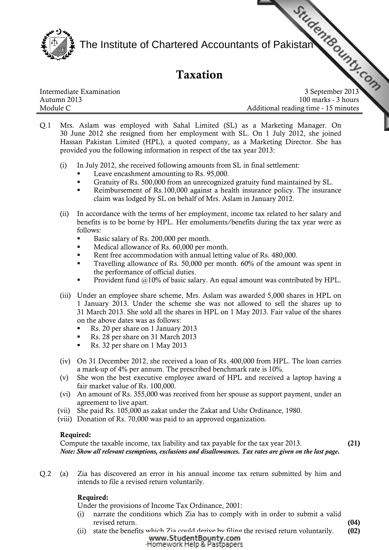

The Institute of Chartered Accountants of Pakistan

# Taxation

| Intermediate Examination |
|--------------------------|
| Autumn 2013              |
| Module C                 |

Intermediate Examination 3 September 2013 Autumn 2013 100 marks - 3 hours Additional reading time - 15 minutes

- Q.1 Mrs. Aslam was employed with Sahal Limited (SL) as a [Marketing Manager. On](http://www.studentbounty.com)  30 June 2012 she resigned from her employment with SL. On 1 July 2012, she joined Hassan Pakistan Limited (HPL), a quoted company, as a Marketing Director. She has provided you the following information in respect of the tax year 2013:
	- (i) In July 2012, she received following amounts from SL in final settlement:
		- **Leave encashment amounting to Rs. 95,000.**
		- Gratuity of Rs. 500,000 from an unrecognized gratuity fund maintained by SL.
		- Reimbursement of Rs.100,000 against a health insurance policy. The insurance claim was lodged by SL on behalf of Mrs. Aslam in January 2012.
	- (ii) In accordance with the terms of her employment, income tax related to her salary and benefits is to be borne by HPL. Her emoluments/benefits during the tax year were as follows:
		- Basic salary of Rs. 200,000 per month.
		- Medical allowance of Rs. 60,000 per month.
		- Rent free accommodation with annual letting value of Rs. 480,000.
		- Travelling allowance of Rs. 50,000 per month. 60% of the amount was spent in the performance of official duties.
		- Provident fund @10% of basic salary. An equal amount was contributed by HPL.
	- (iii) Under an employee share scheme, Mrs. Aslam was awarded 5,000 shares in HPL on 1 January 2013. Under the scheme she was not allowed to sell the shares up to 31 March 2013. She sold all the shares in HPL on 1 May 2013. Fair value of the shares on the above dates was as follows:
		- Rs. 20 per share on 1 January 2013
		- Rs. 28 per share on 31 March 2013
		- Rs. 32 per share on 1 May 2013
	- (iv) On 31 December 2012, she received a loan of Rs. 400,000 from HPL. The loan carries a mark-up of 4% per annum. The prescribed benchmark rate is 10%.
	- (v) She won the best executive employee award of HPL and received a laptop having a fair market value of Rs. 100,000.
	- (vi) An amount of Rs. 355,000 was received from her spouse as support payment, under an agreement to live apart.
	- (vii) She paid Rs. 105,000 as zakat under the Zakat and Ushr Ordinance, 1980.
	- (viii) Donation of Rs. 70,000 was paid to an approved organization.

## Required:

Compute the taxable income, tax liability and tax payable for the tax year 2013. (21) Note: Show all relevant exemptions, exclusions and disallowances. Tax rates are given on the last page.

- 
- Q.2 (a) Zia has discovered an error in his annual income tax return submitted by him and intends to file a revised return voluntarily.

## Required:

Under the provisions of Income Tax Ordinance, 2001:

- (i) narrate the conditions which Zia has to comply with in order to submit a valid revised return. (04)
- (ii) state the benefits [which Zia could derive by filing](http://www.studentbounty.com) the revised return voluntarily. (02)<br>www.StudentBounty.com Homework Help & Pastpapers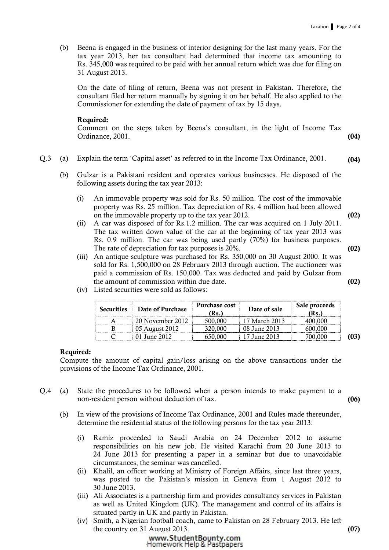(b) Beena is engaged in the business of interior designing for the last many years. For the tax year 2013, her tax consultant had determined that income tax amounting to Rs. 345,000 was required to be paid with her annual return which was due for filing on 31 August 2013.

On the date of filing of return, Beena was not present in Pakistan. Therefore, the consultant filed her return manually by signing it on her behalf. He also applied to the Commissioner for extending the date of payment of tax by 15 days.

#### Required:

Comment on the steps taken by Beena's consultant, in the light of Income Tax Ordinance, 2001. **(04) Constanting Constanting Constanting Constanting Constanting Constanting Constanting Constanting Constanting Constanting Constanting Constanting Constanting Constanting Constanting Constanting Const** 

- Q.3 (a) Explain the term 'Capital asset' as referred to in the Income Tax Ordinance, 2001. (04)
	- (b) Gulzar is a Pakistani resident and operates various businesses. He disposed of the following assets during the tax year 2013:
		- (i) An immovable property was sold for Rs. 50 million. The cost of the immovable property was Rs. 25 million. Tax depreciation of Rs. 4 million had been allowed on the immovable property up to the tax year 2012. (02)
		- (ii) A car was disposed of for Rs.1.2 million. The car was acquired on 1 July 2011. The tax written down value of the car at the beginning of tax year 2013 was Rs. 0.9 million. The car was being used partly (70%) for business purposes. The rate of depreciation for tax purposes is  $20\%$ . (02)
		- (iii) An antique sculpture was purchased for Rs. 350,000 on 30 August 2000. It was sold for Rs. 1,500,000 on 28 February 2013 through auction. The auctioneer was paid a commission of Rs. 150,000. Tax was deducted and paid by Gulzar from the amount of commission within due date. (02)
		- (iv) Listed securities were sold as follows:

| <b>Securities</b> | Date of Purchase | <b>Purchase cost</b><br>(Rs.) | Date of sale  | Sale proceeds<br>Rs. |  |
|-------------------|------------------|-------------------------------|---------------|----------------------|--|
|                   | 20 November 2012 |                               | 17 March 2013 |                      |  |
|                   | 05 August 2012   |                               | 08 June 2013  |                      |  |
|                   | . June 2012.     |                               | June 2013     |                      |  |

#### Required:

Compute the amount of capital gain/loss arising on the above transactions under the provisions of the Income Tax Ordinance, 2001.

- Q.4 (a) State the procedures to be followed when a person intends to make payment to a non-resident person without deduction of tax. (06)
	- (b) In view of the provisions of Income Tax Ordinance, 2001 and Rules made thereunder, determine the residential status of the following persons for the tax year 2013:
		- (i) Ramiz proceeded to Saudi Arabia on 24 December 2012 to assume responsibilities on his new job. He visited Karachi from 20 June 2013 to 24 June 2013 for presenting a paper in a seminar but due to unavoidable circumstances, the seminar was cancelled.
		- (ii) Khalil, an officer working at Ministry of Foreign Affairs, since last three years, was posted to the Pakistan's mission in Geneva from 1 August 2012 to 30 June 2013.
		- (iii) Ali Associates is a partnership firm and provides consultancy services in Pakistan as well as United Kingdom (UK). The management and control of its affairs is situated partly in UK and partly in Pakistan.
		- (iv) Smith, a Nigerian football coach, came to Pakistan on 28 February 2013. He left the country on 3[1 August 2013.](http://www.studentbounty.com) (07)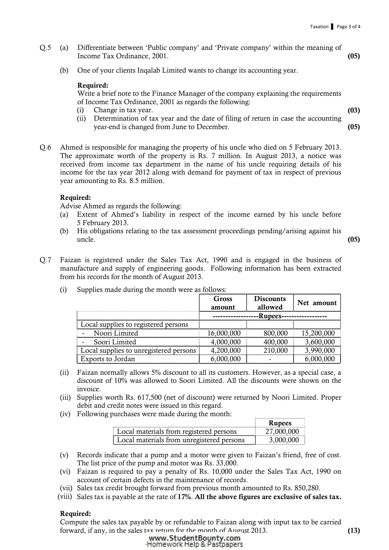- Q.5 (a) Differentiate between 'Public company' and 'Private company' within the meaning of Income Tax Ordinance, 2001. (05)
	- (b) One of your clients Inqalab Limited wants to change its accounting year.

#### Required:

Write a brief note to the Finance Manager of the company explaining the requirements of Income Tax Ordinance, 2001 as regards the following:

- (i) Change in tax year. (03)
- (ii) Determination of tax year and the date of filing of return in case the accounting year-end is changed from June to December. (05)
- Q.6 Ahmed is responsible for managing the property of his uncle who died on 5 February 2013. The approximate worth of the property is Rs. 7 million. In August 2013, a notice was received from income tax department in the name of his uncle requiring details of his income for the tax year 2012 along with demand for payment of tax in respect of previous year amounting to Rs. 8.5 million.

#### Required:

Advise Ahmed as regards the following:

- (a) Extent of Ahmed's liability in respect of the income earned by his uncle before 5 February 2013.
- (b) His obligations relating to the tax assessment proceedings pending/arising against his  $\mu$  uncle.  $(05)$

Q.7 Faizan is registered under the Sales Tax Act, 1990 and is engaged in the business of manufacture and supply of engineering goods. Following information has been extracted from his records for the month of August 2013.

|                                        | Gross<br>amount | <b>Discounts</b><br>allowed | Net amount |
|----------------------------------------|-----------------|-----------------------------|------------|
|                                        | -Rupees-        |                             |            |
| Local supplies to registered persons   |                 |                             |            |
| Noori Limited                          | 16,000,000      | 800,000                     | 15,200,000 |
| Soori Limited                          | 4,000,000       | 400.000                     | 3,600,000  |
| Local supplies to unregistered persons | 4,200,000       | 210,000                     | 3,990,000  |
| Exports to Jordan                      |                 |                             |            |

(i) Supplies made during the month were as follows:

- (ii) Faizan normally allows 5% discount to all its customers. However, as a special case, a discount of 10% was allowed to Soori Limited. All the discounts were shown on the invoice.
- (iii) Supplies worth Rs. 617,500 (net of discount) were returned by Noori Limited. Proper debit and credit notes were issued in this regard.
- (iv) Following purchases were made during the month:

|                                             | Kunees<br>. |
|---------------------------------------------|-------------|
| Local materials from registered persons<br> |             |
| materials from unregistered persons         |             |

 $\begin{tabular}{cccccccccc} \textbf{r} & \textbf{r} & \textbf{r} & \textbf{r} & \textbf{r} & \textbf{r} & \textbf{r} & \textbf{r} & \textbf{r} & \textbf{r} & \textbf{r} & \textbf{r} & \textbf{r} & \textbf{r} & \textbf{r} & \textbf{r} & \textbf{r} & \textbf{r} & \textbf{r} & \textbf{r} & \textbf{r} & \textbf{r} & \textbf{r} & \textbf{r} & \textbf{r} & \textbf{r} & \textbf{r} & \textbf{r} & \textbf{r} & \textbf{r} &$ 

- (v) Records indicate that a pump and a motor were given to Faizan's friend, free of cost. The list price of the pump and motor was Rs. 33,000.
- (vi) Faizan is required to pay a penalty of Rs. 10,000 under the Sales Tax Act, 1990 on account of certain defects in the maintenance of records.
- (vii) Sales tax credit brought forward from previous month amounted to Rs. 850,280.
- (viii) Sales tax is payable at the rate of 17%. All the above figures are exclusive of sales tax.

#### Required:

Compute the sales tax payable by or refundable to Faizan along with input tax to be carried forward, if any, in the sales [tax return for the month of Augu](http://www.studentbounty.com)st 2013. (13)<br>www.StudentBounty.com